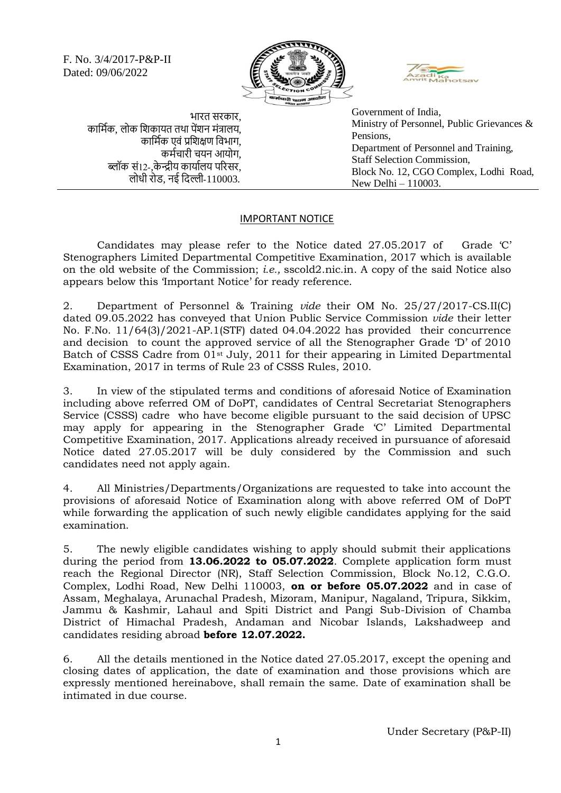F. No. 3/4/2017-P&P-II Dated: 09/06/2022





भारत सरकार, कार्मिक, लोक शिकायत तथा पेंशन मंत्रालय, कार्मिक एवं प्रशिक्षण विभाग, कमिचारी चयन आयोग, ब्लॉक सं12-,के न्द्रीय कायािलय पररसर, लोधी रोड, नई र्िल्ली-110003.

Government of India, Ministry of Personnel, Public Grievances & Pensions, Department of Personnel and Training, Staff Selection Commission, Block No. 12, CGO Complex, Lodhi Road, New Delhi – 110003.

## IMPORTANT NOTICE

Candidates may please refer to the Notice dated 27.05.2017 of Grade 'C' Stenographers Limited Departmental Competitive Examination, 2017 which is available on the old website of the Commission; *i.e.,* sscold2.nic.in. A copy of the said Notice also appears below this 'Important Notice' for ready reference.

2. Department of Personnel & Training *vide* their OM No. 25/27/2017-CS.II(C) dated 09.05.2022 has conveyed that Union Public Service Commission *vide* their letter No. F.No. 11/64(3)/2021-AP.1(STF) dated 04.04.2022 has provided their concurrence and decision to count the approved service of all the Stenographer Grade 'D' of 2010 Batch of CSSS Cadre from 01st July, 2011 for their appearing in Limited Departmental Examination, 2017 in terms of Rule 23 of CSSS Rules, 2010.

3. In view of the stipulated terms and conditions of aforesaid Notice of Examination including above referred OM of DoPT, candidates of Central Secretariat Stenographers Service (CSSS) cadre who have become eligible pursuant to the said decision of UPSC may apply for appearing in the Stenographer Grade 'C' Limited Departmental Competitive Examination, 2017. Applications already received in pursuance of aforesaid Notice dated 27.05.2017 will be duly considered by the Commission and such candidates need not apply again.

4. All Ministries/Departments/Organizations are requested to take into account the provisions of aforesaid Notice of Examination along with above referred OM of DoPT while forwarding the application of such newly eligible candidates applying for the said examination.

5. The newly eligible candidates wishing to apply should submit their applications during the period from **13.06.2022 to 05.07.2022**. Complete application form must reach the Regional Director (NR), Staff Selection Commission, Block No.12, C.G.O. Complex, Lodhi Road, New Delhi 110003, **on or before 05.07.2022** and in case of Assam, Meghalaya, Arunachal Pradesh, Mizoram, Manipur, Nagaland, Tripura, Sikkim, Jammu & Kashmir, Lahaul and Spiti District and Pangi Sub-Division of Chamba District of Himachal Pradesh, Andaman and Nicobar Islands, Lakshadweep and candidates residing abroad **before 12.07.2022.**

6. All the details mentioned in the Notice dated 27.05.2017, except the opening and closing dates of application, the date of examination and those provisions which are expressly mentioned hereinabove, shall remain the same. Date of examination shall be intimated in due course.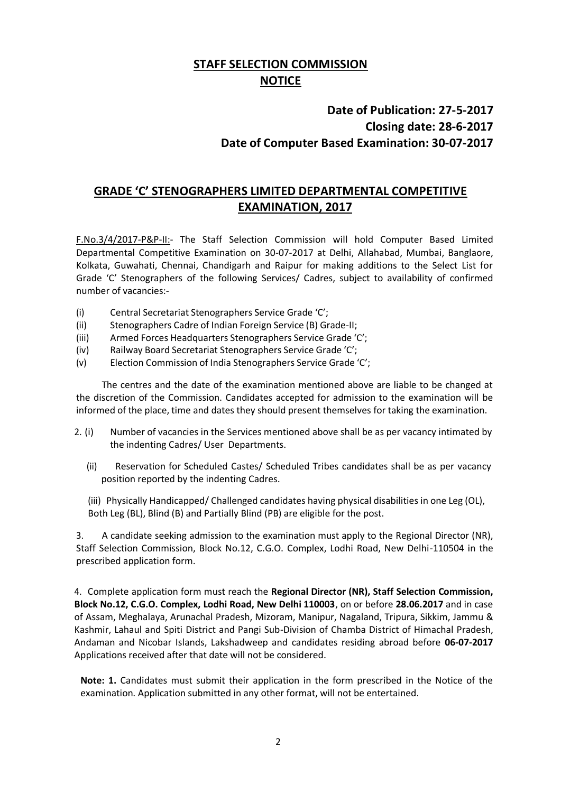# **STAFF SELECTION COMMISSION NOTICE**

# **Date of Publication: 27-5-2017 Closing date: 28-6-2017 Date of Computer Based Examination: 30-07-2017**

# **GRADE 'C' STENOGRAPHERS LIMITED DEPARTMENTAL COMPETITIVE EXAMINATION, 2017**

F.No.3/4/2017-P&P-II:- The Staff Selection Commission will hold Computer Based Limited Departmental Competitive Examination on 30-07-2017 at Delhi, Allahabad, Mumbai, Banglaore, Kolkata, Guwahati, Chennai, Chandigarh and Raipur for making additions to the Select List for Grade 'C' Stenographers of the following Services/ Cadres, subject to availability of confirmed number of vacancies:-

- (i) Central Secretariat Stenographers Service Grade 'C';
- (ii) Stenographers Cadre of Indian Foreign Service (B) Grade-II;
- (iii) Armed Forces Headquarters Stenographers Service Grade 'C';
- (iv) Railway Board Secretariat Stenographers Service Grade 'C';
- (v) Election Commission of India Stenographers Service Grade 'C';

The centres and the date of the examination mentioned above are liable to be changed at the discretion of the Commission. Candidates accepted for admission to the examination will be informed of the place, time and dates they should present themselves for taking the examination.

- 2. (i) Number of vacancies in the Services mentioned above shall be as per vacancy intimated by the indenting Cadres/ User Departments.
	- (ii) Reservation for Scheduled Castes/ Scheduled Tribes candidates shall be as per vacancy position reported by the indenting Cadres.
	- (iii) Physically Handicapped/ Challenged candidates having physical disabilities in one Leg (OL), Both Leg (BL), Blind (B) and Partially Blind (PB) are eligible for the post.

3. A candidate seeking admission to the examination must apply to the Regional Director (NR), Staff Selection Commission, Block No.12, C.G.O. Complex, Lodhi Road, New Delhi-110504 in the prescribed application form.

4. Complete application form must reach the **Regional Director (NR), Staff Selection Commission, Block No.12, C.G.O. Complex, Lodhi Road, New Delhi 110003**, on or before **28.06.2017** and in case of Assam, Meghalaya, Arunachal Pradesh, Mizoram, Manipur, Nagaland, Tripura, Sikkim, Jammu & Kashmir, Lahaul and Spiti District and Pangi Sub-Division of Chamba District of Himachal Pradesh, Andaman and Nicobar Islands, Lakshadweep and candidates residing abroad before **06-07-2017** Applications received after that date will not be considered.

**Note: 1.** Candidates must submit their application in the form prescribed in the Notice of the examination. Application submitted in any other format, will not be entertained.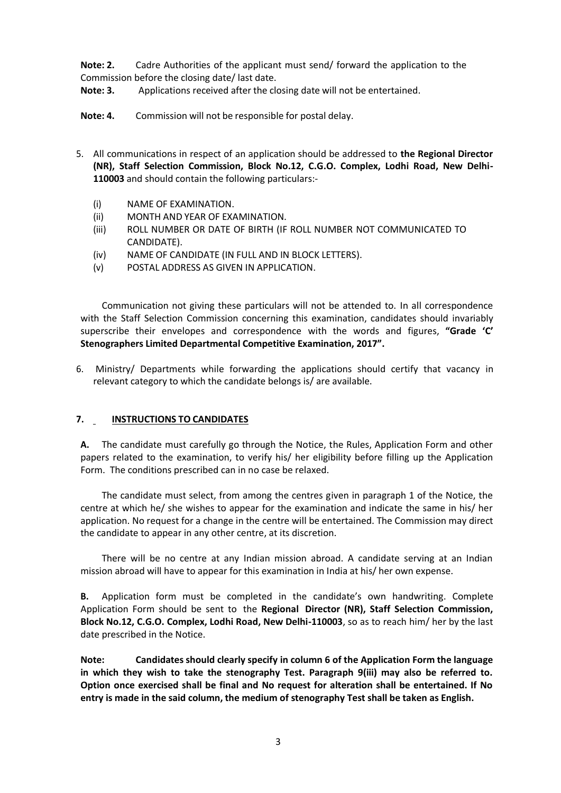**Note: 2.** Cadre Authorities of the applicant must send/ forward the application to the Commission before the closing date/ last date.

**Note: 3.** Applications received after the closing date will not be entertained.

**Note: 4.** Commission will not be responsible for postal delay.

- 5. All communications in respect of an application should be addressed to **the Regional Director (NR), Staff Selection Commission, Block No.12, C.G.O. Complex, Lodhi Road, New Delhi-110003** and should contain the following particulars:-
	- (i) NAME OF EXAMINATION.
	- (ii) MONTH AND YEAR OF EXAMINATION.
	- (iii) ROLL NUMBER OR DATE OF BIRTH (IF ROLL NUMBER NOT COMMUNICATED TO CANDIDATE).
	- (iv) NAME OF CANDIDATE (IN FULL AND IN BLOCK LETTERS).
	- (v) POSTAL ADDRESS AS GIVEN IN APPLICATION.

Communication not giving these particulars will not be attended to. In all correspondence with the Staff Selection Commission concerning this examination, candidates should invariably superscribe their envelopes and correspondence with the words and figures, **"Grade 'C' Stenographers Limited Departmental Competitive Examination, 2017".**

6. Ministry/ Departments while forwarding the applications should certify that vacancy in relevant category to which the candidate belongs is/ are available.

### **7. INSTRUCTIONS TO CANDIDATES**

**A.** The candidate must carefully go through the Notice, the Rules, Application Form and other papers related to the examination, to verify his/ her eligibility before filling up the Application Form. The conditions prescribed can in no case be relaxed.

The candidate must select, from among the centres given in paragraph 1 of the Notice, the centre at which he/ she wishes to appear for the examination and indicate the same in his/ her application. No request for a change in the centre will be entertained. The Commission may direct the candidate to appear in any other centre, at its discretion.

There will be no centre at any Indian mission abroad. A candidate serving at an Indian mission abroad will have to appear for this examination in India at his/ her own expense.

**B.** Application form must be completed in the candidate's own handwriting. Complete Application Form should be sent to the **Regional Director (NR), Staff Selection Commission, Block No.12, C.G.O. Complex, Lodhi Road, New Delhi-110003**, so as to reach him/ her by the last date prescribed in the Notice.

**Note: Candidates should clearly specify in column 6 of the Application Form the language in which they wish to take the stenography Test. Paragraph 9(iii) may also be referred to. Option once exercised shall be final and No request for alteration shall be entertained. If No entry is made in the said column, the medium of stenography Test shall be taken as English.**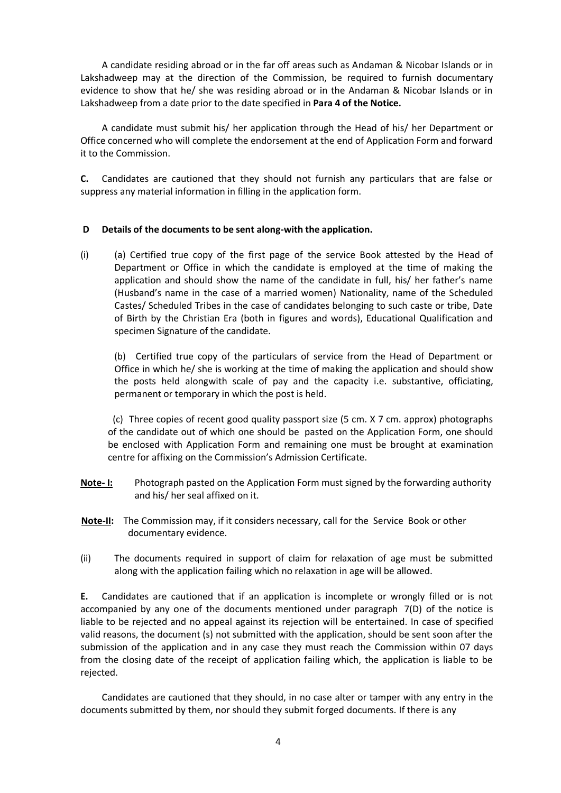A candidate residing abroad or in the far off areas such as Andaman & Nicobar Islands or in Lakshadweep may at the direction of the Commission, be required to furnish documentary evidence to show that he/ she was residing abroad or in the Andaman & Nicobar Islands or in Lakshadweep from a date prior to the date specified in **Para 4 of the Notice.**

A candidate must submit his/ her application through the Head of his/ her Department or Office concerned who will complete the endorsement at the end of Application Form and forward it to the Commission.

**C.** Candidates are cautioned that they should not furnish any particulars that are false or suppress any material information in filling in the application form.

#### **D Details of the documents to be sent along-with the application.**

(i) (a) Certified true copy of the first page of the service Book attested by the Head of Department or Office in which the candidate is employed at the time of making the application and should show the name of the candidate in full, his/ her father's name (Husband's name in the case of a married women) Nationality, name of the Scheduled Castes/ Scheduled Tribes in the case of candidates belonging to such caste or tribe, Date of Birth by the Christian Era (both in figures and words), Educational Qualification and specimen Signature of the candidate.

(b) Certified true copy of the particulars of service from the Head of Department or Office in which he/ she is working at the time of making the application and should show the posts held alongwith scale of pay and the capacity i.e. substantive, officiating, permanent or temporary in which the post is held.

(c) Three copies of recent good quality passport size (5 cm. X 7 cm. approx) photographs of the candidate out of which one should be pasted on the Application Form, one should be enclosed with Application Form and remaining one must be brought at examination centre for affixing on the Commission's Admission Certificate.

- **Note- I:** Photograph pasted on the Application Form must signed by the forwarding authority and his/ her seal affixed on it.
- **Note-II:** The Commission may, if it considers necessary, call for the Service Book or other documentary evidence.
- (ii) The documents required in support of claim for relaxation of age must be submitted along with the application failing which no relaxation in age will be allowed.

**E.** Candidates are cautioned that if an application is incomplete or wrongly filled or is not accompanied by any one of the documents mentioned under paragraph 7(D) of the notice is liable to be rejected and no appeal against its rejection will be entertained. In case of specified valid reasons, the document (s) not submitted with the application, should be sent soon after the submission of the application and in any case they must reach the Commission within 07 days from the closing date of the receipt of application failing which, the application is liable to be rejected.

Candidates are cautioned that they should, in no case alter or tamper with any entry in the documents submitted by them, nor should they submit forged documents. If there is any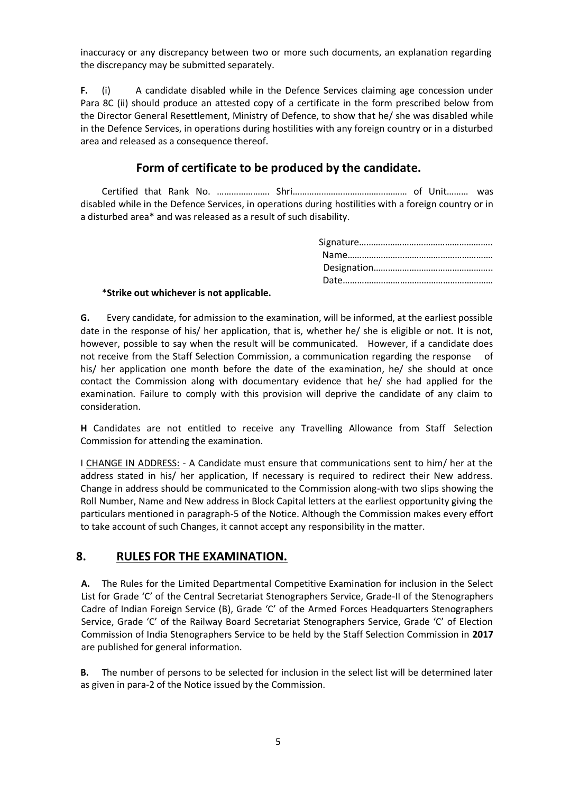inaccuracy or any discrepancy between two or more such documents, an explanation regarding the discrepancy may be submitted separately.

**F.** (i) A candidate disabled while in the Defence Services claiming age concession under Para 8C (ii) should produce an attested copy of a certificate in the form prescribed below from the Director General Resettlement, Ministry of Defence, to show that he/ she was disabled while in the Defence Services, in operations during hostilities with any foreign country or in a disturbed area and released as a consequence thereof.

## **Form of certificate to be produced by the candidate.**

Certified that Rank No. …………………. Shri………………………………………… of Unit……… was disabled while in the Defence Services, in operations during hostilities with a foreign country or in a disturbed area\* and was released as a result of such disability.

#### \***Strike out whichever is not applicable.**

**G.** Every candidate, for admission to the examination, will be informed, at the earliest possible date in the response of his/ her application, that is, whether he/ she is eligible or not. It is not, however, possible to say when the result will be communicated. However, if a candidate does not receive from the Staff Selection Commission, a communication regarding the response of his/ her application one month before the date of the examination, he/ she should at once contact the Commission along with documentary evidence that he/ she had applied for the examination. Failure to comply with this provision will deprive the candidate of any claim to consideration.

**H** Candidates are not entitled to receive any Travelling Allowance from Staff Selection Commission for attending the examination.

I CHANGE IN ADDRESS: - A Candidate must ensure that communications sent to him/ her at the address stated in his/ her application, If necessary is required to redirect their New address. Change in address should be communicated to the Commission along-with two slips showing the Roll Number, Name and New address in Block Capital letters at the earliest opportunity giving the particulars mentioned in paragraph-5 of the Notice. Although the Commission makes every effort to take account of such Changes, it cannot accept any responsibility in the matter.

## **8. RULES FOR THE EXAMINATION.**

**A.** The Rules for the Limited Departmental Competitive Examination for inclusion in the Select List for Grade 'C' of the Central Secretariat Stenographers Service, Grade-II of the Stenographers Cadre of Indian Foreign Service (B), Grade 'C' of the Armed Forces Headquarters Stenographers Service, Grade 'C' of the Railway Board Secretariat Stenographers Service, Grade 'C' of Election Commission of India Stenographers Service to be held by the Staff Selection Commission in **2017** are published for general information.

**B.** The number of persons to be selected for inclusion in the select list will be determined later as given in para-2 of the Notice issued by the Commission.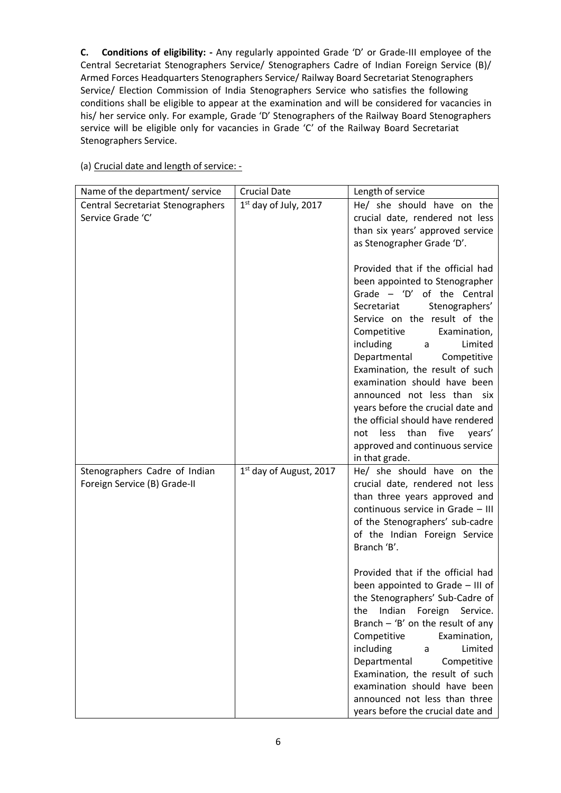**C. Conditions of eligibility: -** Any regularly appointed Grade 'D' or Grade-III employee of the Central Secretariat Stenographers Service/ Stenographers Cadre of Indian Foreign Service (B)/ Armed Forces Headquarters Stenographers Service/ Railway Board Secretariat Stenographers Service/ Election Commission of India Stenographers Service who satisfies the following conditions shall be eligible to appear at the examination and will be considered for vacancies in his/ her service only. For example, Grade 'D' Stenographers of the Railway Board Stenographers service will be eligible only for vacancies in Grade 'C' of the Railway Board Secretariat Stenographers Service.

## (a) Crucial date and length of service: -

| Name of the department/ service                               | <b>Crucial Date</b>     | Length of service                                                                                                                                                                                                                                                                                                                                                                                                                                                                                                                                                                                                       |
|---------------------------------------------------------------|-------------------------|-------------------------------------------------------------------------------------------------------------------------------------------------------------------------------------------------------------------------------------------------------------------------------------------------------------------------------------------------------------------------------------------------------------------------------------------------------------------------------------------------------------------------------------------------------------------------------------------------------------------------|
| Central Secretariat Stenographers                             | 1st day of July, 2017   | He/ she should have on the                                                                                                                                                                                                                                                                                                                                                                                                                                                                                                                                                                                              |
| Service Grade 'C'                                             |                         | crucial date, rendered not less                                                                                                                                                                                                                                                                                                                                                                                                                                                                                                                                                                                         |
|                                                               |                         | than six years' approved service                                                                                                                                                                                                                                                                                                                                                                                                                                                                                                                                                                                        |
|                                                               |                         | as Stenographer Grade 'D'.                                                                                                                                                                                                                                                                                                                                                                                                                                                                                                                                                                                              |
|                                                               |                         | Provided that if the official had<br>been appointed to Stenographer<br>Grade $-$ 'D' of the Central<br>Secretariat<br>Stenographers'<br>Service on the result of the<br>Competitive<br>Examination,<br>including<br>Limited<br>a<br>Departmental<br>Competitive<br>Examination, the result of such<br>examination should have been<br>announced not less than six<br>years before the crucial date and<br>the official should have rendered<br>five<br>less<br>than<br>years'<br>not<br>approved and continuous service                                                                                                 |
|                                                               |                         | in that grade.<br>He/ she should have on the                                                                                                                                                                                                                                                                                                                                                                                                                                                                                                                                                                            |
| Stenographers Cadre of Indian<br>Foreign Service (B) Grade-II | 1st day of August, 2017 | crucial date, rendered not less<br>than three years approved and<br>continuous service in Grade - III<br>of the Stenographers' sub-cadre<br>of the Indian Foreign Service<br>Branch 'B'.<br>Provided that if the official had<br>been appointed to Grade - III of<br>the Stenographers' Sub-Cadre of<br>Indian<br>Foreign<br>the<br>Service.<br>Branch $-$ 'B' on the result of any<br>Competitive<br>Examination,<br>Limited<br>including<br>a<br>Departmental<br>Competitive<br>Examination, the result of such<br>examination should have been<br>announced not less than three<br>years before the crucial date and |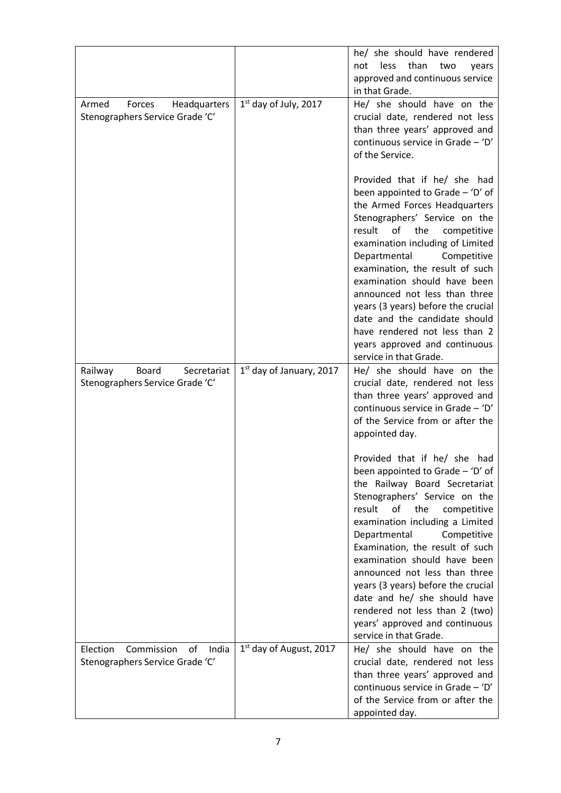|                                                                           |                                     | he/ she should have rendered<br>than<br>less<br>not<br>two<br>years                                                                                                                                                                                                                                                                                                                                                                                                                                                                                                                                                                                                                                              |
|---------------------------------------------------------------------------|-------------------------------------|------------------------------------------------------------------------------------------------------------------------------------------------------------------------------------------------------------------------------------------------------------------------------------------------------------------------------------------------------------------------------------------------------------------------------------------------------------------------------------------------------------------------------------------------------------------------------------------------------------------------------------------------------------------------------------------------------------------|
|                                                                           |                                     | approved and continuous service<br>in that Grade.                                                                                                                                                                                                                                                                                                                                                                                                                                                                                                                                                                                                                                                                |
| Armed<br>Forces<br>Headquarters<br>Stenographers Service Grade 'C'        | $1st$ day of July, 2017             | He/ she should have on the<br>crucial date, rendered not less<br>than three years' approved and<br>continuous service in Grade - 'D'<br>of the Service.                                                                                                                                                                                                                                                                                                                                                                                                                                                                                                                                                          |
|                                                                           |                                     | Provided that if he/ she had<br>been appointed to Grade - 'D' of<br>the Armed Forces Headquarters<br>Stenographers' Service on the<br>the<br>result<br>of<br>competitive<br>examination including of Limited<br>Departmental<br>Competitive<br>examination, the result of such<br>examination should have been<br>announced not less than three<br>years (3 years) before the crucial<br>date and the candidate should<br>have rendered not less than 2<br>years approved and continuous<br>service in that Grade.                                                                                                                                                                                               |
| <b>Board</b><br>Railway<br>Secretariat<br>Stenographers Service Grade 'C' | $1st$ day of January, 2017          | He/ she should have on the<br>crucial date, rendered not less<br>than three years' approved and<br>continuous service in Grade - 'D'<br>of the Service from or after the<br>appointed day.<br>Provided that if he/ she had<br>been appointed to Grade - 'D' of<br>the Railway Board Secretariat<br>Stenographers' Service on the<br>result<br>of<br>the<br>competitive<br>examination including a Limited<br>Departmental<br>Competitive<br>Examination, the result of such<br>examination should have been<br>announced not less than three<br>years (3 years) before the crucial<br>date and he/ she should have<br>rendered not less than 2 (two)<br>years' approved and continuous<br>service in that Grade. |
| Election<br>Commission<br>οf<br>India<br>Stenographers Service Grade 'C'  | 1 <sup>st</sup> day of August, 2017 | He/ she should have on the<br>crucial date, rendered not less<br>than three years' approved and<br>continuous service in Grade - 'D'<br>of the Service from or after the<br>appointed day.                                                                                                                                                                                                                                                                                                                                                                                                                                                                                                                       |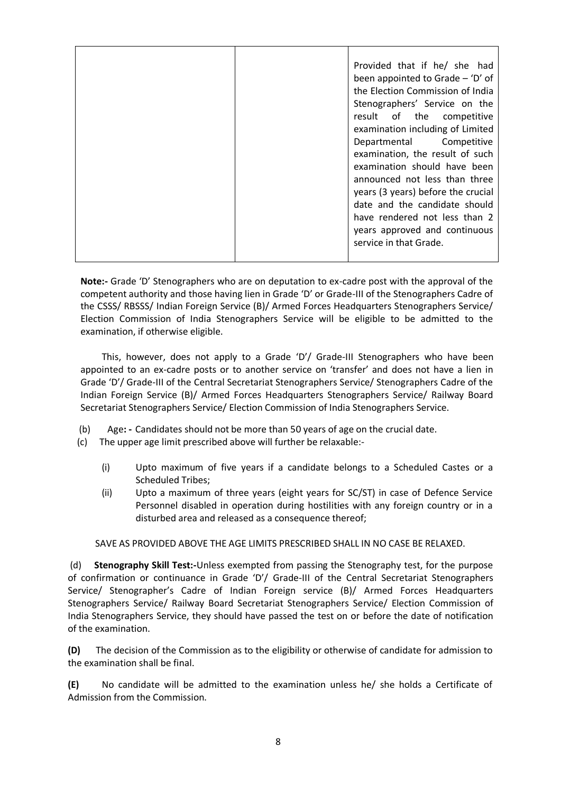|  | Provided that if he/ she had       |
|--|------------------------------------|
|  | been appointed to Grade $-$ 'D' of |
|  | the Election Commission of India   |
|  | Stenographers' Service on the      |
|  | result of the competitive          |
|  | examination including of Limited   |
|  | Departmental Competitive           |
|  | examination, the result of such    |
|  | examination should have been       |
|  | announced not less than three      |
|  | years (3 years) before the crucial |
|  | date and the candidate should      |
|  | have rendered not less than 2      |
|  | years approved and continuous      |
|  | service in that Grade.             |
|  |                                    |

**Note:-** Grade 'D' Stenographers who are on deputation to ex-cadre post with the approval of the competent authority and those having lien in Grade 'D' or Grade-III of the Stenographers Cadre of the CSSS/ RBSSS/ Indian Foreign Service (B)/ Armed Forces Headquarters Stenographers Service/ Election Commission of India Stenographers Service will be eligible to be admitted to the examination, if otherwise eligible.

This, however, does not apply to a Grade 'D'/ Grade-III Stenographers who have been appointed to an ex-cadre posts or to another service on 'transfer' and does not have a lien in Grade 'D'/ Grade-III of the Central Secretariat Stenographers Service/ Stenographers Cadre of the Indian Foreign Service (B)/ Armed Forces Headquarters Stenographers Service/ Railway Board Secretariat Stenographers Service/ Election Commission of India Stenographers Service.

- (b) Age**: -** Candidates should not be more than 50 years of age on the crucial date.
- (c) The upper age limit prescribed above will further be relaxable:-
	- (i) Upto maximum of five years if a candidate belongs to a Scheduled Castes or a Scheduled Tribes;
	- (ii) Upto a maximum of three years (eight years for SC/ST) in case of Defence Service Personnel disabled in operation during hostilities with any foreign country or in a disturbed area and released as a consequence thereof;

#### SAVE AS PROVIDED ABOVE THE AGE LIMITS PRESCRIBED SHALL IN NO CASE BE RELAXED.

(d) **Stenography Skill Test:-**Unless exempted from passing the Stenography test, for the purpose of confirmation or continuance in Grade 'D'/ Grade-III of the Central Secretariat Stenographers Service/ Stenographer's Cadre of Indian Foreign service (B)/ Armed Forces Headquarters Stenographers Service/ Railway Board Secretariat Stenographers Service/ Election Commission of India Stenographers Service, they should have passed the test on or before the date of notification of the examination.

**(D)** The decision of the Commission as to the eligibility or otherwise of candidate for admission to the examination shall be final.

**(E)** No candidate will be admitted to the examination unless he/ she holds a Certificate of Admission from the Commission.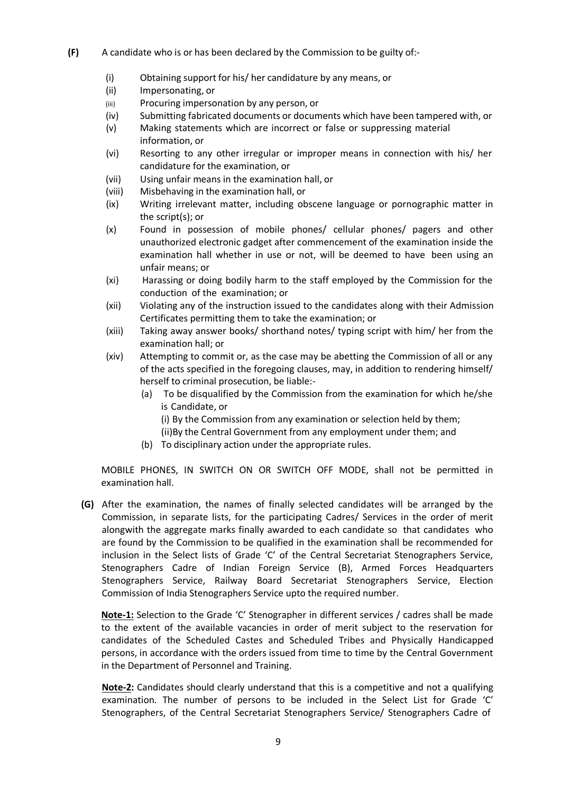- **(F)** A candidate who is or has been declared by the Commission to be guilty of:-
	- (i) Obtaining support for his/ her candidature by any means, or
	- (ii) Impersonating, or
	- (iii) Procuring impersonation by any person, or
	- (iv) Submitting fabricated documents or documents which have been tampered with, or
	- (v) Making statements which are incorrect or false or suppressing material information, or
	- (vi) Resorting to any other irregular or improper means in connection with his/ her candidature for the examination, or
	- (vii) Using unfair means in the examination hall, or
	- (viii) Misbehaving in the examination hall, or
	- (ix) Writing irrelevant matter, including obscene language or pornographic matter in the script(s); or
	- (x) Found in possession of mobile phones/ cellular phones/ pagers and other unauthorized electronic gadget after commencement of the examination inside the examination hall whether in use or not, will be deemed to have been using an unfair means; or
	- (xi) Harassing or doing bodily harm to the staff employed by the Commission for the conduction of the examination; or
	- (xii) Violating any of the instruction issued to the candidates along with their Admission Certificates permitting them to take the examination; or
	- (xiii) Taking away answer books/ shorthand notes/ typing script with him/ her from the examination hall; or
	- (xiv) Attempting to commit or, as the case may be abetting the Commission of all or any of the acts specified in the foregoing clauses, may, in addition to rendering himself/ herself to criminal prosecution, be liable:-
		- (a) To be disqualified by the Commission from the examination for which he/she is Candidate, or
			- (i) By the Commission from any examination or selection held by them;
			- (ii)By the Central Government from any employment under them; and
		- (b) To disciplinary action under the appropriate rules.

MOBILE PHONES, IN SWITCH ON OR SWITCH OFF MODE, shall not be permitted in examination hall.

**(G)** After the examination, the names of finally selected candidates will be arranged by the Commission, in separate lists, for the participating Cadres/ Services in the order of merit alongwith the aggregate marks finally awarded to each candidate so that candidates who are found by the Commission to be qualified in the examination shall be recommended for inclusion in the Select lists of Grade 'C' of the Central Secretariat Stenographers Service, Stenographers Cadre of Indian Foreign Service (B), Armed Forces Headquarters Stenographers Service, Railway Board Secretariat Stenographers Service, Election Commission of India Stenographers Service upto the required number.

**Note-1:** Selection to the Grade 'C' Stenographer in different services / cadres shall be made to the extent of the available vacancies in order of merit subject to the reservation for candidates of the Scheduled Castes and Scheduled Tribes and Physically Handicapped persons, in accordance with the orders issued from time to time by the Central Government in the Department of Personnel and Training.

**Note-2:** Candidates should clearly understand that this is a competitive and not a qualifying examination. The number of persons to be included in the Select List for Grade 'C' Stenographers, of the Central Secretariat Stenographers Service/ Stenographers Cadre of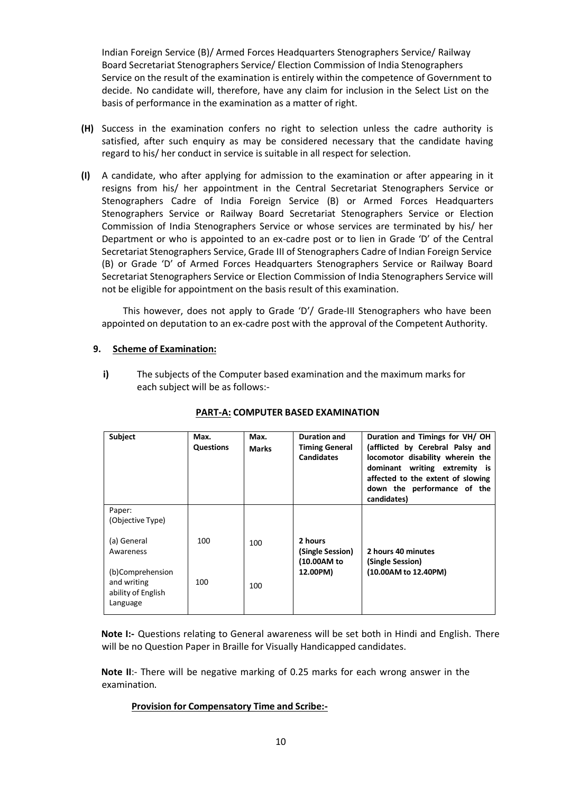Indian Foreign Service (B)/ Armed Forces Headquarters Stenographers Service/ Railway Board Secretariat Stenographers Service/ Election Commission of India Stenographers Service on the result of the examination is entirely within the competence of Government to decide. No candidate will, therefore, have any claim for inclusion in the Select List on the basis of performance in the examination as a matter of right.

- **(H)** Success in the examination confers no right to selection unless the cadre authority is satisfied, after such enquiry as may be considered necessary that the candidate having regard to his/ her conduct in service is suitable in all respect for selection.
- **(I)** A candidate, who after applying for admission to the examination or after appearing in it resigns from his/ her appointment in the Central Secretariat Stenographers Service or Stenographers Cadre of India Foreign Service (B) or Armed Forces Headquarters Stenographers Service or Railway Board Secretariat Stenographers Service or Election Commission of India Stenographers Service or whose services are terminated by his/ her Department or who is appointed to an ex-cadre post or to lien in Grade 'D' of the Central Secretariat Stenographers Service, Grade III of Stenographers Cadre of Indian Foreign Service (B) or Grade 'D' of Armed Forces Headquarters Stenographers Service or Railway Board Secretariat Stenographers Service or Election Commission of India Stenographers Service will not be eligible for appointment on the basis result of this examination.

This however, does not apply to Grade 'D'/ Grade-III Stenographers who have been appointed on deputation to an ex-cadre post with the approval of the Competent Authority.

#### **9. Scheme of Examination:**

**i)** The subjects of the Computer based examination and the maximum marks for each subject will be as follows:-

| Subject                                                           | Max.<br><b>Questions</b> | Max.<br><b>Marks</b> | Duration and<br><b>Timing General</b><br><b>Candidates</b> | Duration and Timings for VH/OH<br>(afflicted by Cerebral Palsy and<br>locomotor disability wherein the<br>dominant writing extremity is<br>affected to the extent of slowing<br>down the performance of the<br>candidates) |
|-------------------------------------------------------------------|--------------------------|----------------------|------------------------------------------------------------|----------------------------------------------------------------------------------------------------------------------------------------------------------------------------------------------------------------------------|
| Paper:<br>(Objective Type)                                        |                          |                      |                                                            |                                                                                                                                                                                                                            |
| (a) General<br>Awareness                                          | 100                      | 100                  | 2 hours<br>(Single Session)<br>(10.00AM to                 | 2 hours 40 minutes<br>(Single Session)                                                                                                                                                                                     |
| (b)Comprehension<br>and writing<br>ability of English<br>Language | 100                      | 100                  | 12.00PM)                                                   | (10.00AM to 12.40PM)                                                                                                                                                                                                       |

### **PART-A: COMPUTER BASED EXAMINATION**

**Note I:-** Questions relating to General awareness will be set both in Hindi and English. There will be no Question Paper in Braille for Visually Handicapped candidates.

**Note II**:- There will be negative marking of 0.25 marks for each wrong answer in the examination.

#### **Provision for Compensatory Time and Scribe:-**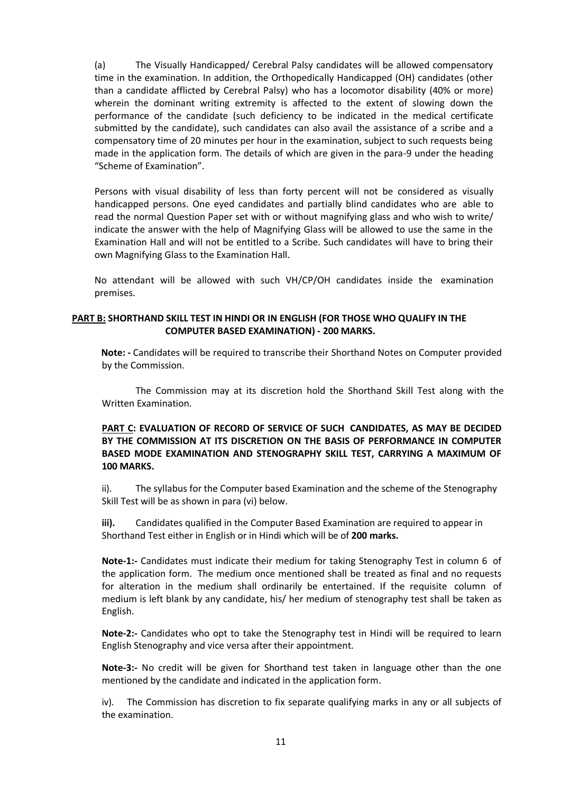(a) The Visually Handicapped/ Cerebral Palsy candidates will be allowed compensatory time in the examination. In addition, the Orthopedically Handicapped (OH) candidates (other than a candidate afflicted by Cerebral Palsy) who has a locomotor disability (40% or more) wherein the dominant writing extremity is affected to the extent of slowing down the performance of the candidate (such deficiency to be indicated in the medical certificate submitted by the candidate), such candidates can also avail the assistance of a scribe and a compensatory time of 20 minutes per hour in the examination, subject to such requests being made in the application form. The details of which are given in the para-9 under the heading "Scheme of Examination".

Persons with visual disability of less than forty percent will not be considered as visually handicapped persons. One eyed candidates and partially blind candidates who are able to read the normal Question Paper set with or without magnifying glass and who wish to write/ indicate the answer with the help of Magnifying Glass will be allowed to use the same in the Examination Hall and will not be entitled to a Scribe. Such candidates will have to bring their own Magnifying Glass to the Examination Hall.

No attendant will be allowed with such VH/CP/OH candidates inside the examination premises.

#### **PART B: SHORTHAND SKILL TEST IN HINDI OR IN ENGLISH (FOR THOSE WHO QUALIFY IN THE COMPUTER BASED EXAMINATION) - 200 MARKS.**

**Note: -** Candidates will be required to transcribe their Shorthand Notes on Computer provided by the Commission.

The Commission may at its discretion hold the Shorthand Skill Test along with the Written Examination.

#### **PART C: EVALUATION OF RECORD OF SERVICE OF SUCH CANDIDATES, AS MAY BE DECIDED BY THE COMMISSION AT ITS DISCRETION ON THE BASIS OF PERFORMANCE IN COMPUTER BASED MODE EXAMINATION AND STENOGRAPHY SKILL TEST, CARRYING A MAXIMUM OF 100 MARKS.**

ii). The syllabus for the Computer based Examination and the scheme of the Stenography Skill Test will be as shown in para (vi) below.

**iii).** Candidates qualified in the Computer Based Examination are required to appear in Shorthand Test either in English or in Hindi which will be of **200 marks.**

**Note-1:-** Candidates must indicate their medium for taking Stenography Test in column 6 of the application form. The medium once mentioned shall be treated as final and no requests for alteration in the medium shall ordinarily be entertained. If the requisite column of medium is left blank by any candidate, his/ her medium of stenography test shall be taken as English.

**Note-2:-** Candidates who opt to take the Stenography test in Hindi will be required to learn English Stenography and vice versa after their appointment.

**Note-3:-** No credit will be given for Shorthand test taken in language other than the one mentioned by the candidate and indicated in the application form.

iv). The Commission has discretion to fix separate qualifying marks in any or all subjects of the examination.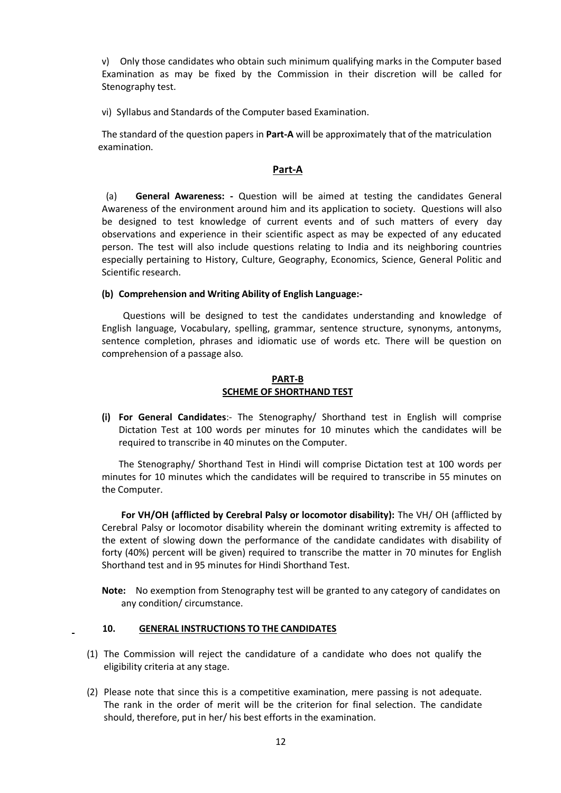v) Only those candidates who obtain such minimum qualifying marks in the Computer based Examination as may be fixed by the Commission in their discretion will be called for Stenography test.

vi) Syllabus and Standards of the Computer based Examination.

The standard of the question papers in **Part-A** will be approximately that of the matriculation examination.

#### **Part-A**

(a) **General Awareness: -** Question will be aimed at testing the candidates General Awareness of the environment around him and its application to society. Questions will also be designed to test knowledge of current events and of such matters of every day observations and experience in their scientific aspect as may be expected of any educated person. The test will also include questions relating to India and its neighboring countries especially pertaining to History, Culture, Geography, Economics, Science, General Politic and Scientific research.

#### **(b) Comprehension and Writing Ability of English Language:-**

Questions will be designed to test the candidates understanding and knowledge of English language, Vocabulary, spelling, grammar, sentence structure, synonyms, antonyms, sentence completion, phrases and idiomatic use of words etc. There will be question on comprehension of a passage also.

#### **PART-B SCHEME OF SHORTHAND TEST**

**(i) For General Candidates**:- The Stenography/ Shorthand test in English will comprise Dictation Test at 100 words per minutes for 10 minutes which the candidates will be required to transcribe in 40 minutes on the Computer.

The Stenography/ Shorthand Test in Hindi will comprise Dictation test at 100 words per minutes for 10 minutes which the candidates will be required to transcribe in 55 minutes on the Computer.

**For VH/OH (afflicted by Cerebral Palsy or locomotor disability):** The VH/ OH (afflicted by Cerebral Palsy or locomotor disability wherein the dominant writing extremity is affected to the extent of slowing down the performance of the candidate candidates with disability of forty (40%) percent will be given) required to transcribe the matter in 70 minutes for English Shorthand test and in 95 minutes for Hindi Shorthand Test.

**Note:** No exemption from Stenography test will be granted to any category of candidates on any condition/ circumstance.

#### **10. GENERAL INSTRUCTIONS TO THE CANDIDATES**

- (1) The Commission will reject the candidature of a candidate who does not qualify the eligibility criteria at any stage.
- (2) Please note that since this is a competitive examination, mere passing is not adequate. The rank in the order of merit will be the criterion for final selection. The candidate should, therefore, put in her/ his best efforts in the examination.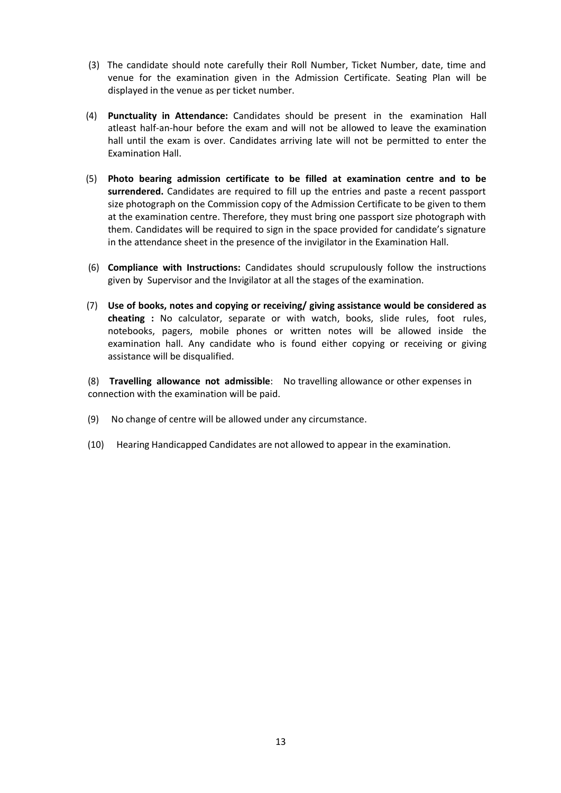- (3) The candidate should note carefully their Roll Number, Ticket Number, date, time and venue for the examination given in the Admission Certificate. Seating Plan will be displayed in the venue as per ticket number.
- (4) **Punctuality in Attendance:** Candidates should be present in the examination Hall atleast half-an-hour before the exam and will not be allowed to leave the examination hall until the exam is over. Candidates arriving late will not be permitted to enter the Examination Hall.
- (5) **Photo bearing admission certificate to be filled at examination centre and to be surrendered.** Candidates are required to fill up the entries and paste a recent passport size photograph on the Commission copy of the Admission Certificate to be given to them at the examination centre. Therefore, they must bring one passport size photograph with them. Candidates will be required to sign in the space provided for candidate's signature in the attendance sheet in the presence of the invigilator in the Examination Hall.
- (6) **Compliance with Instructions:** Candidates should scrupulously follow the instructions given by Supervisor and the Invigilator at all the stages of the examination.
- (7) **Use of books, notes and copying or receiving/ giving assistance would be considered as cheating :** No calculator, separate or with watch, books, slide rules, foot rules, notebooks, pagers, mobile phones or written notes will be allowed inside the examination hall. Any candidate who is found either copying or receiving or giving assistance will be disqualified.

(8) **Travelling allowance not admissible**: No travelling allowance or other expenses in connection with the examination will be paid.

- (9) No change of centre will be allowed under any circumstance.
- (10) Hearing Handicapped Candidates are not allowed to appear in the examination.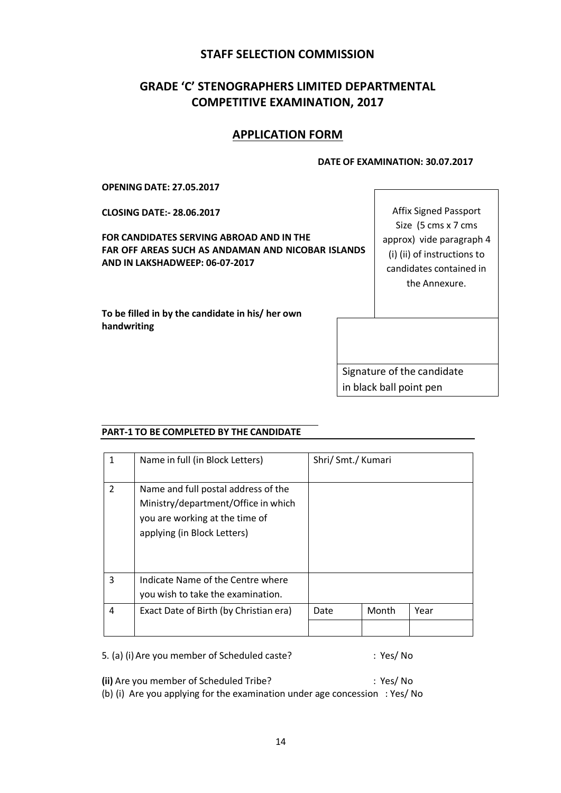## **STAFF SELECTION COMMISSION**

# **GRADE 'C' STENOGRAPHERS LIMITED DEPARTMENTAL COMPETITIVE EXAMINATION, 2017**

## **APPLICATION FORM**

#### **DATE OF EXAMINATION: 30.07.2017**

**OPENING DATE: 27.05.2017**

**CLOSING DATE:- 28.06.2017**

**FOR CANDIDATES SERVING ABROAD AND IN THE FAR OFF AREAS SUCH AS ANDAMAN AND NICOBAR ISLANDS AND IN LAKSHADWEEP: 06-07-2017**

Size (5 cms x 7 cms approx) vide paragraph 4 (i) (ii) of instructions to candidates contained in the Annexure.

Affix Signed Passport

**To be filled in by the candidate in his/ her own handwriting**

> Signature of the candidate in black ball point pen

### **PART-1 TO BE COMPLETED BY THE CANDIDATE**

|                | Name in full (in Block Letters)                                                                                                             | Shri/ Smt./ Kumari |       |      |
|----------------|---------------------------------------------------------------------------------------------------------------------------------------------|--------------------|-------|------|
| $\mathfrak{p}$ | Name and full postal address of the<br>Ministry/department/Office in which<br>you are working at the time of<br>applying (in Block Letters) |                    |       |      |
| 3              | Indicate Name of the Centre where<br>you wish to take the examination.                                                                      |                    |       |      |
| 4              | Exact Date of Birth (by Christian era)                                                                                                      | Date               | Month | Year |
|                |                                                                                                                                             |                    |       |      |

5. (a) (i) Are you member of Scheduled caste? : Yes/ No

**(ii)** Are you member of Scheduled Tribe? : Yes/ No

(b) (i) Are you applying for the examination under age concession : Yes/ No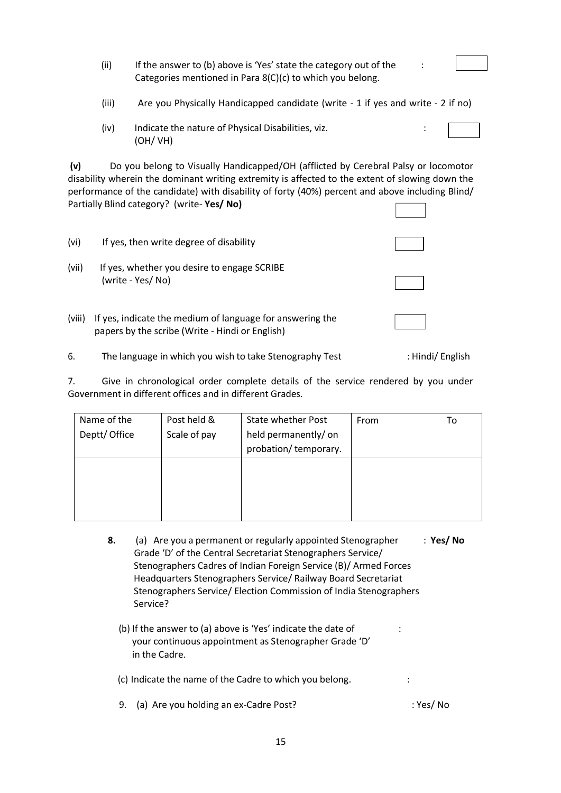|        | (ii)  | If the answer to (b) above is 'Yes' state the category out of the<br>Categories mentioned in Para 8(C)(c) to which you belong.                                                                                                                                                                                                       |  |
|--------|-------|--------------------------------------------------------------------------------------------------------------------------------------------------------------------------------------------------------------------------------------------------------------------------------------------------------------------------------------|--|
|        | (iii) | Are you Physically Handicapped candidate (write - 1 if yes and write - 2 if no)                                                                                                                                                                                                                                                      |  |
|        | (iv)  | Indicate the nature of Physical Disabilities, viz.<br>(OH/VH)                                                                                                                                                                                                                                                                        |  |
| (v)    |       | Do you belong to Visually Handicapped/OH (afflicted by Cerebral Palsy or locomotor<br>disability wherein the dominant writing extremity is affected to the extent of slowing down the<br>performance of the candidate) with disability of forty (40%) percent and above including Blind/<br>Partially Blind category? (write-Yes/No) |  |
| (vi)   |       | If yes, then write degree of disability                                                                                                                                                                                                                                                                                              |  |
| (vii)  |       | If yes, whether you desire to engage SCRIBE<br>(write - Yes/No)                                                                                                                                                                                                                                                                      |  |
| (viii) |       | If yes, indicate the medium of language for answering the<br>papers by the scribe (Write - Hindi or English)                                                                                                                                                                                                                         |  |

6. The language in which you wish to take Stenography Test : Hindi/ English

7. Give in chronological order complete details of the service rendered by you under Government in different offices and in different Grades.

| Name of the   | Post held &  | State whether Post   | From | Т٥ |
|---------------|--------------|----------------------|------|----|
| Deptt/ Office | Scale of pay | held permanently/ on |      |    |
|               |              | probation/temporary. |      |    |
|               |              |                      |      |    |
|               |              |                      |      |    |
|               |              |                      |      |    |
|               |              |                      |      |    |

- **8.** (a) Are you a permanent or regularly appointed Stenographer : **Yes/ No** Grade 'D' of the Central Secretariat Stenographers Service/ Stenographers Cadres of Indian Foreign Service (B)/ Armed Forces Headquarters Stenographers Service/ Railway Board Secretariat Stenographers Service/ Election Commission of India Stenographers Service?
	- (b) If the answer to (a) above is 'Yes' indicate the date of : your continuous appointment as Stenographer Grade 'D' in the Cadre.

(c) Indicate the name of the Cadre to which you belong. :

9. (a) Are you holding an ex-Cadre Post?  $\blacksquare$  : Yes/ No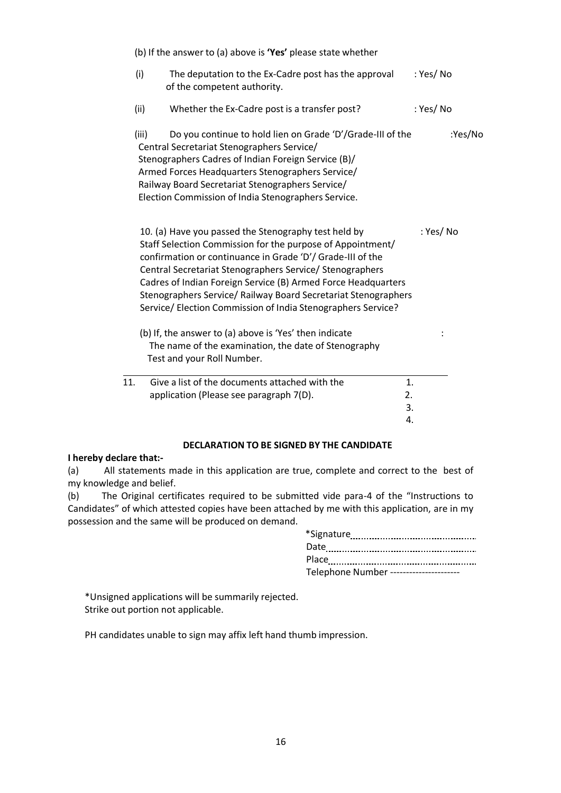|     | (b) If the answer to (a) above is 'Yes' please state whether                                                                                                                                                                                                                                                                                                                                                                                                                                              |          |
|-----|-----------------------------------------------------------------------------------------------------------------------------------------------------------------------------------------------------------------------------------------------------------------------------------------------------------------------------------------------------------------------------------------------------------------------------------------------------------------------------------------------------------|----------|
|     | (i)<br>The deputation to the Ex-Cadre post has the approval<br>of the competent authority.                                                                                                                                                                                                                                                                                                                                                                                                                | : Yes/No |
|     | Whether the Ex-Cadre post is a transfer post?<br>(ii)                                                                                                                                                                                                                                                                                                                                                                                                                                                     | : Yes/No |
|     | Do you continue to hold lien on Grade 'D'/Grade-III of the<br>(iii)<br>Central Secretariat Stenographers Service/<br>Stenographers Cadres of Indian Foreign Service (B)/<br>Armed Forces Headquarters Stenographers Service/<br>Railway Board Secretariat Stenographers Service/<br>Election Commission of India Stenographers Service.                                                                                                                                                                   | :Yes/No  |
|     | 10. (a) Have you passed the Stenography test held by<br>Staff Selection Commission for the purpose of Appointment/<br>confirmation or continuance in Grade 'D'/ Grade-III of the<br>Central Secretariat Stenographers Service/ Stenographers<br>Cadres of Indian Foreign Service (B) Armed Force Headquarters<br>Stenographers Service/ Railway Board Secretariat Stenographers<br>Service/ Election Commission of India Stenographers Service?<br>(b) If, the answer to (a) above is 'Yes' then indicate | : Yes/No |
|     | The name of the examination, the date of Stenography<br>Test and your Roll Number.                                                                                                                                                                                                                                                                                                                                                                                                                        |          |
| 11. | Give a list of the documents attached with the<br>1.<br>application (Please see paragraph 7(D).<br>2.<br>3.<br>4.                                                                                                                                                                                                                                                                                                                                                                                         |          |
|     |                                                                                                                                                                                                                                                                                                                                                                                                                                                                                                           |          |

#### **DECLARATION TO BE SIGNED BY THE CANDIDATE**

#### **I hereby declare that:-**

(a) All statements made in this application are true, complete and correct to the best of my knowledge and belief.

(b) The Original certificates required to be submitted vide para-4 of the "Instructions to Candidates" of which attested copies have been attached by me with this application, are in my possession and the same will be produced on demand.

| *Signature                             |
|----------------------------------------|
| Date                                   |
| Place                                  |
| Telephone Number --------------------- |

\*Unsigned applications will be summarily rejected. Strike out portion not applicable.

PH candidates unable to sign may affix left hand thumb impression.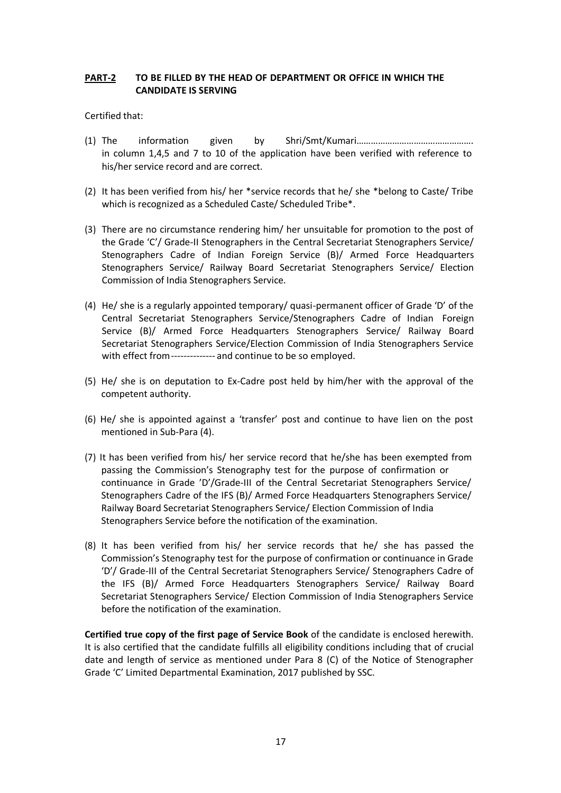### **PART-2 TO BE FILLED BY THE HEAD OF DEPARTMENT OR OFFICE IN WHICH THE CANDIDATE IS SERVING**

#### Certified that:

- (1) The information given by Shri/Smt/Kumari…………………………………………. in column 1,4,5 and 7 to 10 of the application have been verified with reference to his/her service record and are correct.
- (2) It has been verified from his/ her \*service records that he/ she \*belong to Caste/ Tribe which is recognized as a Scheduled Caste/ Scheduled Tribe\*.
- (3) There are no circumstance rendering him/ her unsuitable for promotion to the post of the Grade 'C'/ Grade-II Stenographers in the Central Secretariat Stenographers Service/ Stenographers Cadre of Indian Foreign Service (B)/ Armed Force Headquarters Stenographers Service/ Railway Board Secretariat Stenographers Service/ Election Commission of India Stenographers Service.
- (4) He/ she is a regularly appointed temporary/ quasi-permanent officer of Grade 'D' of the Central Secretariat Stenographers Service/Stenographers Cadre of Indian Foreign Service (B)/ Armed Force Headquarters Stenographers Service/ Railway Board Secretariat Stenographers Service/Election Commission of India Stenographers Service with effect from-------------- and continue to be so employed.
- (5) He/ she is on deputation to Ex-Cadre post held by him/her with the approval of the competent authority.
- (6) He/ she is appointed against a 'transfer' post and continue to have lien on the post mentioned in Sub-Para (4).
- (7) It has been verified from his/ her service record that he/she has been exempted from passing the Commission's Stenography test for the purpose of confirmation or continuance in Grade 'D'/Grade-III of the Central Secretariat Stenographers Service/ Stenographers Cadre of the IFS (B)/ Armed Force Headquarters Stenographers Service/ Railway Board Secretariat Stenographers Service/ Election Commission of India Stenographers Service before the notification of the examination.
- (8) It has been verified from his/ her service records that he/ she has passed the Commission's Stenography test for the purpose of confirmation or continuance in Grade 'D'/ Grade-III of the Central Secretariat Stenographers Service/ Stenographers Cadre of the IFS (B)/ Armed Force Headquarters Stenographers Service/ Railway Board Secretariat Stenographers Service/ Election Commission of India Stenographers Service before the notification of the examination.

**Certified true copy of the first page of Service Book** of the candidate is enclosed herewith. It is also certified that the candidate fulfills all eligibility conditions including that of crucial date and length of service as mentioned under Para 8 (C) of the Notice of Stenographer Grade 'C' Limited Departmental Examination, 2017 published by SSC.